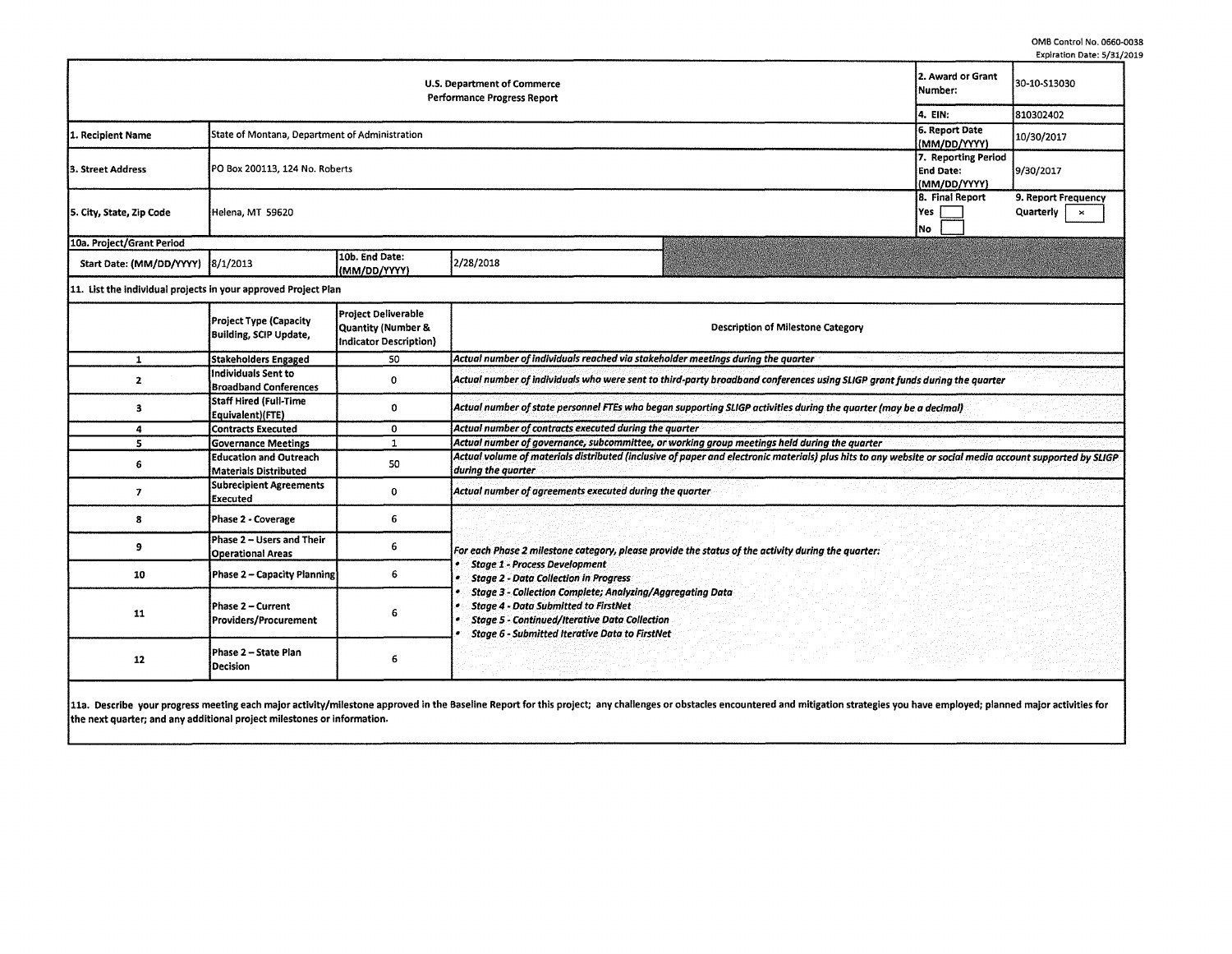|                                                                          |                                                                                           |                                                                            |                                                                                                                                                                                                                                                                                                                                                                                                                                |  |                              | Expiration Date: 5/31,                                  |  |  |  |
|--------------------------------------------------------------------------|-------------------------------------------------------------------------------------------|----------------------------------------------------------------------------|--------------------------------------------------------------------------------------------------------------------------------------------------------------------------------------------------------------------------------------------------------------------------------------------------------------------------------------------------------------------------------------------------------------------------------|--|------------------------------|---------------------------------------------------------|--|--|--|
| <b>U.S. Department of Commerce</b><br><b>Performance Progress Report</b> |                                                                                           |                                                                            |                                                                                                                                                                                                                                                                                                                                                                                                                                |  |                              | 30-10-S13030                                            |  |  |  |
|                                                                          |                                                                                           |                                                                            |                                                                                                                                                                                                                                                                                                                                                                                                                                |  |                              | 810302402                                               |  |  |  |
| 1. Recipient Name                                                        | 6. Report Date<br>State of Montana, Department of Administration<br>(MM/DD/YYYY)          |                                                                            |                                                                                                                                                                                                                                                                                                                                                                                                                                |  |                              | 10/30/2017                                              |  |  |  |
| 3. Street Address                                                        | 7. Reporting Period<br>PO Box 200113, 124 No. Roberts<br><b>End Date:</b><br>(MM/DD/YYYY) |                                                                            |                                                                                                                                                                                                                                                                                                                                                                                                                                |  |                              | 9/30/2017                                               |  |  |  |
| 5. City, State, Zip Code                                                 | Helena, MT 59620                                                                          |                                                                            |                                                                                                                                                                                                                                                                                                                                                                                                                                |  | 8. Final Report<br>Yes<br>No | 9. Report Frequency<br><b>Quarterly</b><br>$\mathbf{x}$ |  |  |  |
| 10a. Project/Grant Period                                                |                                                                                           |                                                                            |                                                                                                                                                                                                                                                                                                                                                                                                                                |  |                              |                                                         |  |  |  |
| Start Date: (MM/DD/YYYY)                                                 | 8/1/2013                                                                                  | 10b. End Date:<br>(MM/DD/YYYY)                                             | 2/28/2018                                                                                                                                                                                                                                                                                                                                                                                                                      |  |                              |                                                         |  |  |  |
| 11. List the individual projects in your approved Project Plan           |                                                                                           |                                                                            |                                                                                                                                                                                                                                                                                                                                                                                                                                |  |                              |                                                         |  |  |  |
|                                                                          | <b>Project Type (Capacity</b><br><b>Building, SCIP Update,</b>                            | <b>Project Deliverable</b><br>Quantity (Number &<br>Indicator Description) | <b>Description of Milestone Category</b>                                                                                                                                                                                                                                                                                                                                                                                       |  |                              |                                                         |  |  |  |
| 1                                                                        | Stakeholders Engaged                                                                      | 50                                                                         | Actual number of individuals reached via stakeholder meetings during the quarter                                                                                                                                                                                                                                                                                                                                               |  |                              |                                                         |  |  |  |
| $\mathbf{z}$                                                             | Individuals Sent to<br><b>Broadband Conferences</b>                                       | 0                                                                          | Actual number of individuals who were sent to third-party broadband conferences using SLIGP grant funds during the quarter                                                                                                                                                                                                                                                                                                     |  |                              |                                                         |  |  |  |
| з                                                                        | Staff Hired (Full-Time<br>Equivalent)(FTE)                                                | 0                                                                          | Actual number of state personnel FTEs who began supporting SLIGP activities during the quarter (may be a decimal)                                                                                                                                                                                                                                                                                                              |  |                              |                                                         |  |  |  |
| 4                                                                        | Contracts Executed                                                                        | 0                                                                          | Actual number of contracts executed during the quarter                                                                                                                                                                                                                                                                                                                                                                         |  |                              |                                                         |  |  |  |
| 5                                                                        | <b>Governance Meetings</b>                                                                | $\mathbf{1}$                                                               | Actual number of governance, subcommittee, or working group meetings held during the quarter                                                                                                                                                                                                                                                                                                                                   |  |                              |                                                         |  |  |  |
| 6                                                                        | <b>Education and Outreach</b><br><b>Materials Distributed</b>                             | 50                                                                         | Actual volume of materials distributed (inclusive of paper and electronic materials) plus hits to any website or social media account supported by SLIGP<br>during the quarter                                                                                                                                                                                                                                                 |  |                              |                                                         |  |  |  |
| 7                                                                        | <b>Subrecipient Agreements</b><br><b>Executed</b>                                         | $\mathbf 0$                                                                | Actual number of agreements executed during the quarter                                                                                                                                                                                                                                                                                                                                                                        |  |                              |                                                         |  |  |  |
| 8                                                                        | Phase 2 - Coverage                                                                        | 6                                                                          |                                                                                                                                                                                                                                                                                                                                                                                                                                |  |                              |                                                         |  |  |  |
| 9                                                                        | Phase 2 - Users and Their<br><b>Operational Areas</b>                                     | 6                                                                          | For each Phase 2 milestone category, please provide the status of the activity during the quarter:<br><b>Stage 1 - Process Development</b><br><b>Stage 2 - Data Collection in Progress</b><br><b>Stage 3 - Collection Complete; Analyzing/Aggregating Data</b><br><b>Stage 4 - Data Submitted to FirstNet</b><br><b>Stage 5 - Continued/Iterative Data Collection</b><br><b>Stage 6 - Submitted Iterative Data to FirstNet</b> |  |                              |                                                         |  |  |  |
| 10                                                                       | Phase 2 - Capacity Planning                                                               | 6                                                                          |                                                                                                                                                                                                                                                                                                                                                                                                                                |  |                              |                                                         |  |  |  |
| 11                                                                       | Phase 2 – Current<br>Providers/Procurement                                                | 6                                                                          |                                                                                                                                                                                                                                                                                                                                                                                                                                |  |                              |                                                         |  |  |  |
| 12                                                                       | Phase 2 - State Plan<br>Decision                                                          | 6                                                                          |                                                                                                                                                                                                                                                                                                                                                                                                                                |  |                              |                                                         |  |  |  |

11a. Describe your progress meeting each major activity/milestone approved in the Baseline Report for this project; any challenges or obstacles encountered and mitigation strategies you have employed; planned major activit the next quarter; and any additional project milestones or information.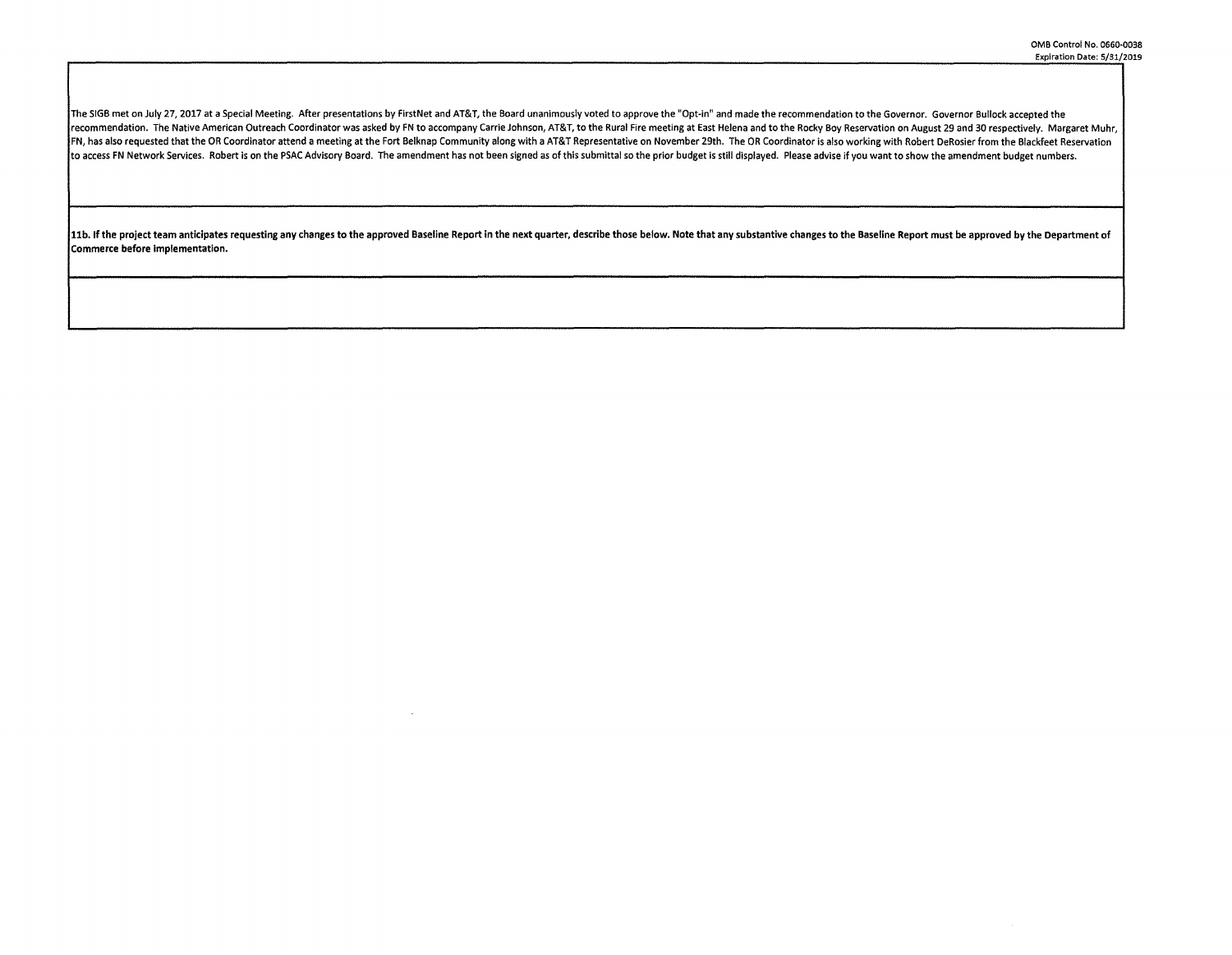The SIGB met on July 27, 2017 at a Special Meeting. After presentations by FirstNet and AT&T, the Board unanimously voted to approve the "Opt-in" and made the recommendation to the Governor. Governor Bullock accepted the recommendation. The Native American Outreach Coordinator was asked by FN to accompany Carrie Johnson, AT&T, to the Rural Fire meeting at East Helena and to the Rocky Boy Reservation on August 29 and 30 respectively. Margar FN, has also requested that the OR Coordinator attend a meeting at the Fort Belknap Community along with a AT&T Representative on November 29th. The OR Coordinator is also working with Robert DeRosier from the Blackfeet Re to access FN Network Services. Robert is on the PSAC Advisory Board. The amendment has not been signed as of this submittal so the prior budget is still displayed. Please advise if you want to show the amendment budget num

11b. If the project team anticipates requesting any changes to the approved Baseline Report in the next quarter, describe those below. Note that any substantive changes to the Baseline Report must be approved by the Depart Commerce before implementation.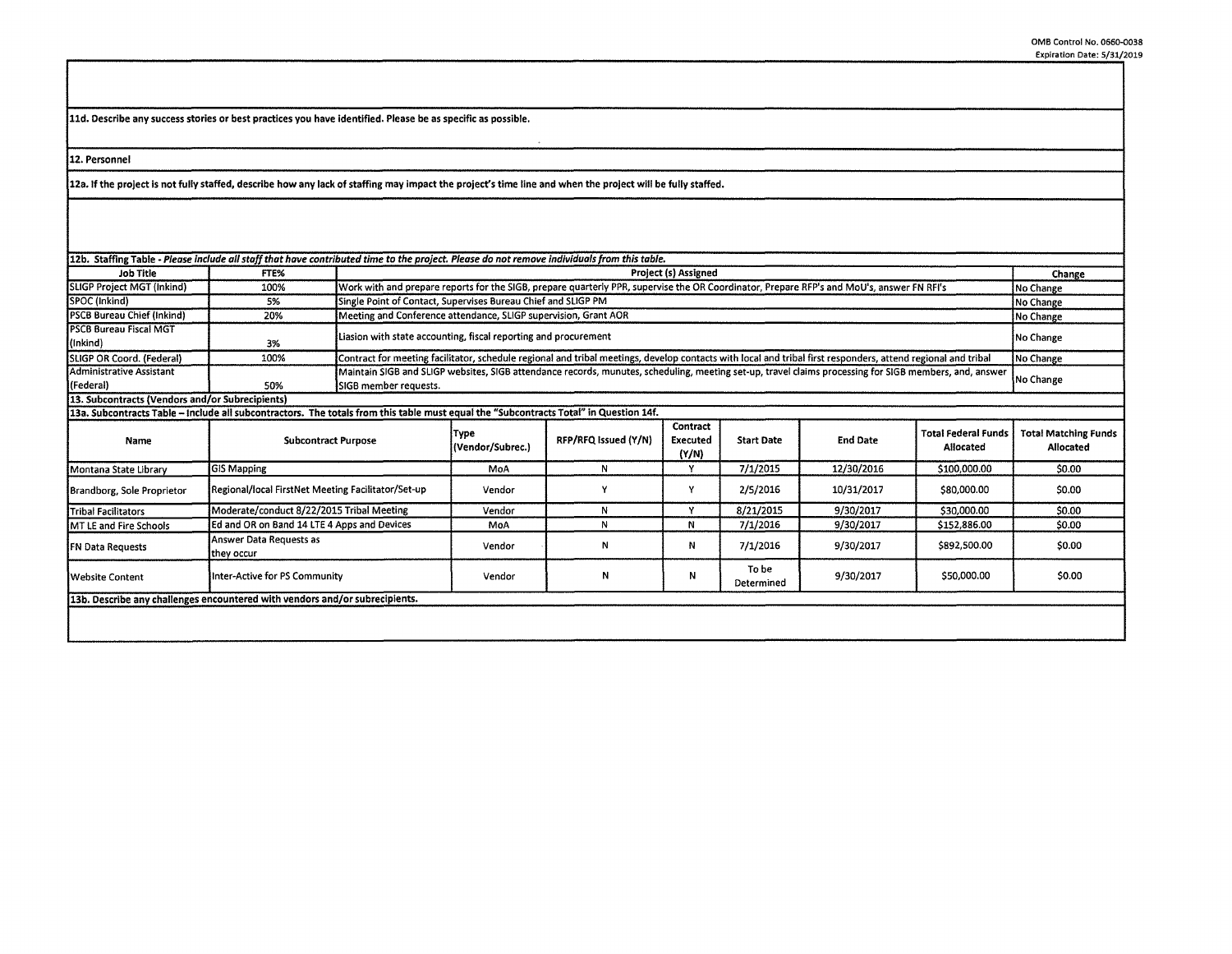**lld. Describe any success stories or best practices you have identified. Please be as specific as possible.** 

**12. Personnel** 

**12a. If the project is not fully staffed, describe how any lack of staffing may impact the project's time** line **and when** the **project will be fully staffed.** 

| 12b. Staffing Table - Please include all staff that have contributed time to the project. Please do not remove individuals from this table. |                                                    |                       |                                                                                                                                                                           |                      |                               |                     |                 |                                         |                                          |  |
|---------------------------------------------------------------------------------------------------------------------------------------------|----------------------------------------------------|-----------------------|---------------------------------------------------------------------------------------------------------------------------------------------------------------------------|----------------------|-------------------------------|---------------------|-----------------|-----------------------------------------|------------------------------------------|--|
| Job Title                                                                                                                                   | FTE%                                               |                       | Project (s) Assigned                                                                                                                                                      |                      |                               |                     |                 |                                         |                                          |  |
| SLIGP Project MGT (inkind)                                                                                                                  | 100%                                               |                       | Work with and prepare reports for the SIGB, prepare quarterly PPR, supervise the OR Coordinator, Prepare RFP's and MoU's, answer FN RFI's<br>No Change                    |                      |                               |                     |                 |                                         |                                          |  |
| SPOC (Inkind)                                                                                                                               | 5%                                                 |                       | Single Point of Contact, Supervises Bureau Chief and SLIGP PM                                                                                                             |                      |                               |                     |                 |                                         | No Change                                |  |
| <b>PSCB Bureau Chief (Inkind)</b>                                                                                                           | 20%                                                |                       | Meeting and Conference attendance, SLIGP supervision, Grant AOR<br>No Change                                                                                              |                      |                               |                     |                 |                                         |                                          |  |
| <b>PSCB Bureau Fiscal MGT</b>                                                                                                               |                                                    |                       | Liasion with state accounting, fiscal reporting and procurement                                                                                                           |                      |                               |                     |                 |                                         | No Change                                |  |
| (inkind)                                                                                                                                    | 3%                                                 |                       |                                                                                                                                                                           |                      |                               |                     |                 |                                         |                                          |  |
| SLIGP OR Coord. (Federal)                                                                                                                   | 100%                                               |                       | Contract for meeting facilitator, schedule regional and tribal meetings, develop contacts with local and tribal first responders, attend regional and tribal<br>No Change |                      |                               |                     |                 |                                         |                                          |  |
| Administrative Assistant                                                                                                                    |                                                    |                       | Maintain SIGB and SLIGP websites, SIGB attendance records, munutes, scheduling, meeting set-up, travel claims processing for SIGB members, and, answer<br>No Change       |                      |                               |                     |                 |                                         |                                          |  |
| (Federal)                                                                                                                                   | 50%                                                | SIGB member requests. |                                                                                                                                                                           |                      |                               |                     |                 |                                         |                                          |  |
| 13. Subcontracts (Vendors and/or Subrecipients)                                                                                             |                                                    |                       |                                                                                                                                                                           |                      |                               |                     |                 |                                         |                                          |  |
| 13a. Subcontracts Table – Include all subcontractors. The totals from this table must equal the "Subcontracts Total" in Question 14f.       |                                                    |                       |                                                                                                                                                                           |                      |                               |                     |                 |                                         |                                          |  |
| Name                                                                                                                                        | <b>Subcontract Purpose</b>                         |                       | Type<br>(Vendor/Subrec.)                                                                                                                                                  | RFP/RFQ Issued (Y/N) | Contract<br>Executed<br>(Y/N) | <b>Start Date</b>   | <b>End Date</b> | <b>Total Federal Funds</b><br>Allocated | <b>Total Matching Funds</b><br>Allocated |  |
| Montana State Library                                                                                                                       | <b>GIS Mapping</b>                                 |                       | MoA                                                                                                                                                                       | N                    | Y                             | 7/1/2015            | 12/30/2016      | \$100,000.00                            | \$0.00                                   |  |
| Brandborg, Sole Proprietor                                                                                                                  | Regional/local FirstNet Meeting Facilitator/Set-up |                       | Vendor                                                                                                                                                                    |                      | Y                             | 2/5/2016            | 10/31/2017      | \$80,000.00                             | \$0.00                                   |  |
| <b>Tribal Facilitators</b>                                                                                                                  | Moderate/conduct 8/22/2015 Tribal Meeting          |                       | Vendor                                                                                                                                                                    | N                    | Y                             | 8/21/2015           | 9/30/2017       | \$30,000.00                             | \$0.00                                   |  |
| MT LE and Fire Schools                                                                                                                      | Ed and OR on Band 14 LTE 4 Apps and Devices        |                       | MoA                                                                                                                                                                       | N                    | N                             | 7/1/2016            | 9/30/2017       | \$152,886.00                            | \$0.00                                   |  |
| FN Data Requests                                                                                                                            | Answer Data Requests as<br>they occur              |                       | Vendor                                                                                                                                                                    | N                    | Ν                             | 7/1/2016            | 9/30/2017       | \$892,500.00                            | \$0.00                                   |  |
| Website Content                                                                                                                             | Inter-Active for PS Community                      |                       | Vendor                                                                                                                                                                    | N                    | N                             | To be<br>Determined | 9/30/2017       | \$50,000.00                             | \$0.00                                   |  |
| 13b. Describe any challenges encountered with vendors and/or subrecipients.                                                                 |                                                    |                       |                                                                                                                                                                           |                      |                               |                     |                 |                                         |                                          |  |